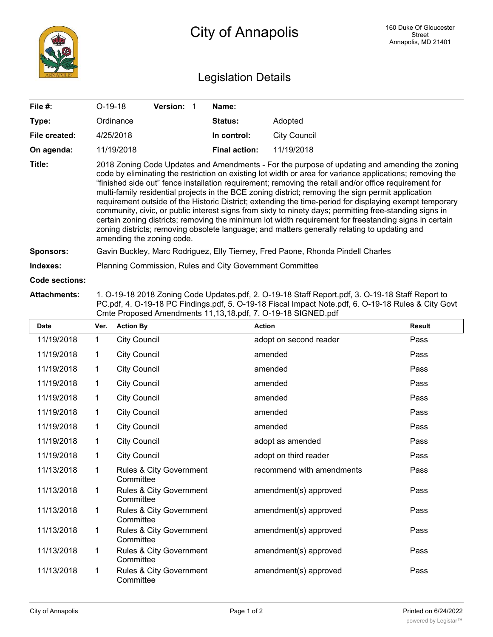

## City of Annapolis

## Legislation Details

| File #:          | $O-19-18$                                                                                                                                                                                                                                                                                                                                                                                                                                                                                                                                                                                                                                                                                                                                                                                                                                                                              | <b>Version:</b> | Name:                |                     |  |  |  |
|------------------|----------------------------------------------------------------------------------------------------------------------------------------------------------------------------------------------------------------------------------------------------------------------------------------------------------------------------------------------------------------------------------------------------------------------------------------------------------------------------------------------------------------------------------------------------------------------------------------------------------------------------------------------------------------------------------------------------------------------------------------------------------------------------------------------------------------------------------------------------------------------------------------|-----------------|----------------------|---------------------|--|--|--|
| Type:            | Ordinance                                                                                                                                                                                                                                                                                                                                                                                                                                                                                                                                                                                                                                                                                                                                                                                                                                                                              |                 | <b>Status:</b>       | Adopted             |  |  |  |
| File created:    | 4/25/2018                                                                                                                                                                                                                                                                                                                                                                                                                                                                                                                                                                                                                                                                                                                                                                                                                                                                              |                 | In control:          | <b>City Council</b> |  |  |  |
| On agenda:       | 11/19/2018                                                                                                                                                                                                                                                                                                                                                                                                                                                                                                                                                                                                                                                                                                                                                                                                                                                                             |                 | <b>Final action:</b> | 11/19/2018          |  |  |  |
| Title:           | 2018 Zoning Code Updates and Amendments - For the purpose of updating and amending the zoning<br>code by eliminating the restriction on existing lot width or area for variance applications; removing the<br>"finished side out" fence installation requirement; removing the retail and/or office requirement for<br>multi-family residential projects in the BCE zoning district; removing the sign permit application<br>requirement outside of the Historic District; extending the time-period for displaying exempt temporary<br>community, civic, or public interest signs from sixty to ninety days; permitting free-standing signs in<br>certain zoning districts; removing the minimum lot width requirement for freestanding signs in certain<br>zoning districts; removing obsolete language; and matters generally relating to updating and<br>amending the zoning code. |                 |                      |                     |  |  |  |
| <b>Sponsors:</b> | Gavin Buckley, Marc Rodriguez, Elly Tierney, Fred Paone, Rhonda Pindell Charles                                                                                                                                                                                                                                                                                                                                                                                                                                                                                                                                                                                                                                                                                                                                                                                                        |                 |                      |                     |  |  |  |
| Indexes:         | Planning Commission, Rules and City Government Committee                                                                                                                                                                                                                                                                                                                                                                                                                                                                                                                                                                                                                                                                                                                                                                                                                               |                 |                      |                     |  |  |  |
| Code sections:   |                                                                                                                                                                                                                                                                                                                                                                                                                                                                                                                                                                                                                                                                                                                                                                                                                                                                                        |                 |                      |                     |  |  |  |

## **Attachments:** 1. O-19-18 2018 Zoning Code Updates.pdf, 2. O-19-18 Staff Report.pdf, 3. O-19-18 Staff Report to PC.pdf, 4. O-19-18 PC Findings.pdf, 5. O-19-18 Fiscal Impact Note.pdf, 6. O-19-18 Rules & City Govt Cmte Proposed Amendments 11,13,18.pdf, 7. O-19-18 SIGNED.pdf

| <b>Date</b> | Ver.         | <b>Action By</b>                     | <b>Action</b>             | <b>Result</b> |
|-------------|--------------|--------------------------------------|---------------------------|---------------|
| 11/19/2018  | $\mathbf{1}$ | <b>City Council</b>                  | adopt on second reader    | Pass          |
| 11/19/2018  | $\mathbf{1}$ | <b>City Council</b>                  | amended                   | Pass          |
| 11/19/2018  | $\mathbf{1}$ | <b>City Council</b>                  | amended                   | Pass          |
| 11/19/2018  | 1            | <b>City Council</b>                  | amended                   | Pass          |
| 11/19/2018  | 1            | <b>City Council</b>                  | amended                   | Pass          |
| 11/19/2018  | 1            | <b>City Council</b>                  | amended                   | Pass          |
| 11/19/2018  | 1            | <b>City Council</b>                  | amended                   | Pass          |
| 11/19/2018  | 1            | <b>City Council</b>                  | adopt as amended          | Pass          |
| 11/19/2018  | 1            | <b>City Council</b>                  | adopt on third reader     | Pass          |
| 11/13/2018  | 1            | Rules & City Government<br>Committee | recommend with amendments | Pass          |
| 11/13/2018  | $\mathbf 1$  | Rules & City Government<br>Committee | amendment(s) approved     | Pass          |
| 11/13/2018  | 1            | Rules & City Government<br>Committee | amendment(s) approved     | Pass          |
| 11/13/2018  | 1            | Rules & City Government<br>Committee | amendment(s) approved     | Pass          |
| 11/13/2018  | 1            | Rules & City Government<br>Committee | amendment(s) approved     | Pass          |
| 11/13/2018  | 1            | Rules & City Government<br>Committee | amendment(s) approved     | Pass          |